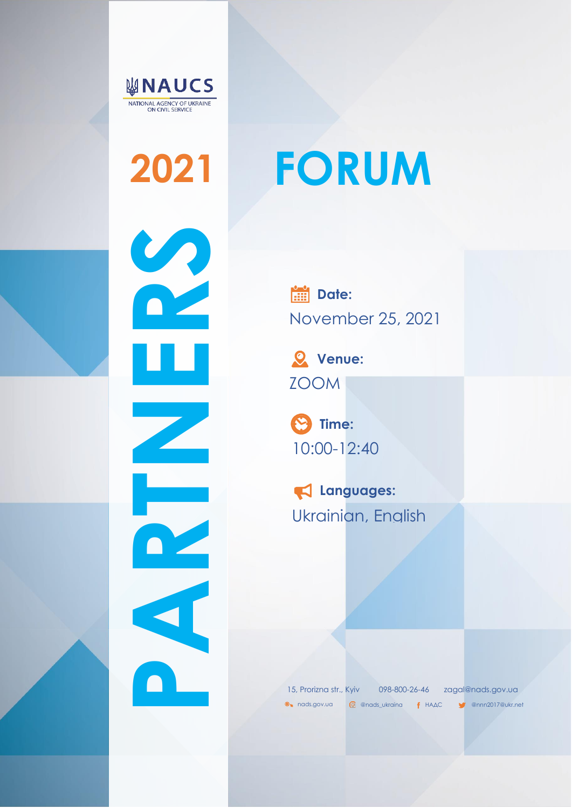

**2021**

**PARTICULE** 

## **FORUM**

**Date:** November 25, 2021

**Venue:** ZOOM

**Time:** 10:00-12:40

**Languages:** Ukrainian, English

15, Prorizna str., Kyiv 098-800-26-46 zagal@nads.gov.ua nads.gov.ua @nads\_ukraina НАДС @nnn2017@ukr.net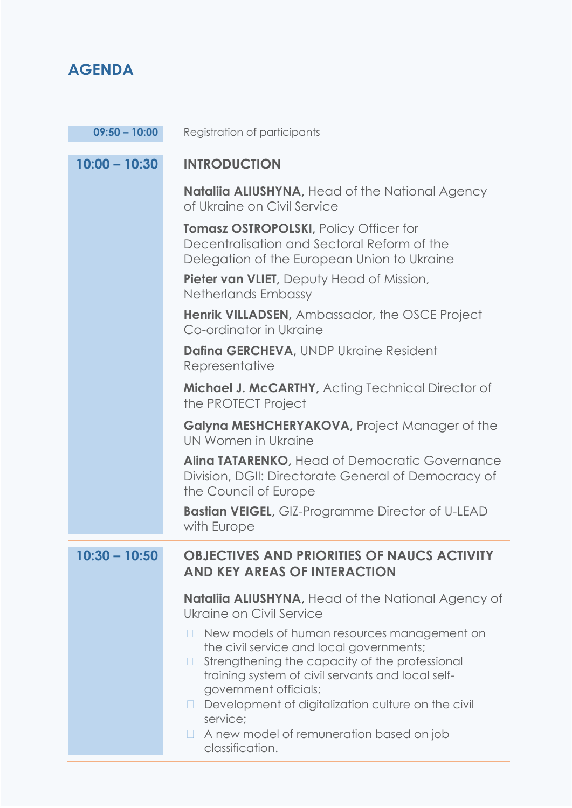## **AGENDA**

| $09:50 - 10:00$ | Registration of participants                                                                                                                                                                                                           |
|-----------------|----------------------------------------------------------------------------------------------------------------------------------------------------------------------------------------------------------------------------------------|
| $10:00 - 10:30$ | <b>INTRODUCTION</b>                                                                                                                                                                                                                    |
|                 | Nataliia ALIUSHYNA, Head of the National Agency<br>of Ukraine on Civil Service                                                                                                                                                         |
|                 | Tomasz OSTROPOLSKI, Policy Officer for<br>Decentralisation and Sectoral Reform of the<br>Delegation of the European Union to Ukraine                                                                                                   |
|                 | Pieter van VLIET, Deputy Head of Mission,<br>Netherlands Embassy                                                                                                                                                                       |
|                 | Henrik VILLADSEN, Ambassador, the OSCE Project<br>Co-ordinator in Ukraine                                                                                                                                                              |
|                 | Dafina GERCHEVA, UNDP Ukraine Resident<br>Representative                                                                                                                                                                               |
|                 | Michael J. McCARTHY, Acting Technical Director of<br>the PROTECT Project                                                                                                                                                               |
|                 | Galyna MESHCHERYAKOVA, Project Manager of the<br>UN Women in Ukraine                                                                                                                                                                   |
|                 | <b>Alina TATARENKO, Head of Democratic Governance</b><br>Division, DGII: Directorate General of Democracy of<br>the Council of Europe                                                                                                  |
|                 | <b>Bastian VEIGEL, GIZ-Programme Director of U-LEAD</b><br>with Europe                                                                                                                                                                 |
| $10:30 - 10:50$ | <b>OBJECTIVES AND PRIORITIES OF NAUCS ACTIVITY</b><br><b>AND KEY AREAS OF INTERACTION</b>                                                                                                                                              |
|                 | <b>Nataliia ALIUSHYNA, Head of the National Agency of</b><br>Ukraine on Civil Service                                                                                                                                                  |
|                 | New models of human resources management on<br>П<br>the civil service and local governments;<br>Strengthening the capacity of the professional<br>$\Box$<br>training system of civil servants and local self-<br>government officials; |
|                 | Development of digitalization culture on the civil<br>service;<br>A new model of remuneration based on job<br>classification.                                                                                                          |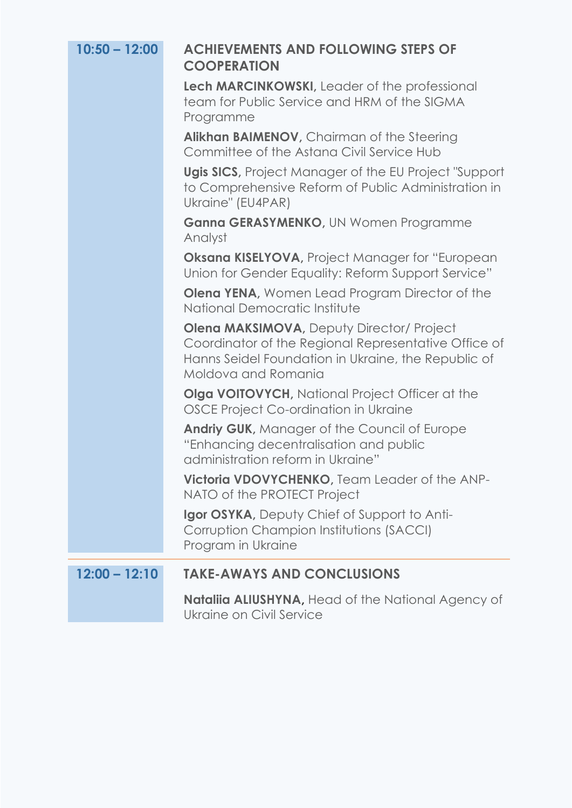| $10:50 - 12:00$ | <b>ACHIEVEMENTS AND FOLLOWING STEPS OF</b><br><b>COOPERATION</b>                                                                                                                       |
|-----------------|----------------------------------------------------------------------------------------------------------------------------------------------------------------------------------------|
|                 | Lech MARCINKOWSKI, Leader of the professional<br>team for Public Service and HRM of the SIGMA<br>Programme                                                                             |
|                 | Alikhan BAIMENOV, Chairman of the Steering<br>Committee of the Astana Civil Service Hub                                                                                                |
|                 | <b>Ugis SICS, Project Manager of the EU Project "Support</b><br>to Comprehensive Reform of Public Administration in<br>Ukraine" (EU4PAR)                                               |
|                 | Ganna GERASYMENKO, UN Women Programme<br>Analyst                                                                                                                                       |
|                 | Oksana KISELYOVA, Project Manager for "European<br>Union for Gender Equality: Reform Support Service"                                                                                  |
|                 | <b>Olena YENA, Women Lead Program Director of the</b><br>National Democratic Institute                                                                                                 |
|                 | <b>Olena MAKSIMOVA, Deputy Director/ Project</b><br>Coordinator of the Regional Representative Office of<br>Hanns Seidel Foundation in Ukraine, the Republic of<br>Moldova and Romania |
|                 | <b>Olga VOITOVYCH, National Project Officer at the</b><br>OSCE Project Co-ordination in Ukraine                                                                                        |
|                 | <b>Andriy GUK, Manager of the Council of Europe</b><br>"Enhancing decentralisation and public<br>administration reform in Ukraine"                                                     |
|                 | Victoria VDOVYCHENKO, Team Leader of the ANP-<br>NATO of the PROTECT Project                                                                                                           |
|                 | Igor OSYKA, Deputy Chief of Support to Anti-<br>Corruption Champion Institutions (SACCI)<br>Program in Ukraine                                                                         |
|                 |                                                                                                                                                                                        |

## **12:00 – 12:10 TAKE-AWAYS AND CONCLUSIONS**

**Nataliia ALIUSHYNA,** Head of the National Agency of Ukraine on Civil Service